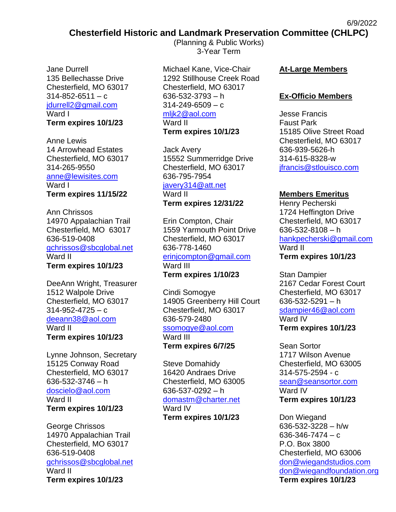# **Chesterfield Historic and Landmark Preservation Committee (CHLPC)**

Jane Durrell 135 Bellechasse Drive Chesterfield, MO 63017  $314 - 852 - 6511 - c$ [jdurrell2@gmail.com](mailto:jane@reachone.com) Ward I **Term expires 10/1/23**

Anne Lewis 14 Arrowhead Estates Chesterfield, MO 63017 314-265-9550 [anne@lewisites.com](mailto:anne@lewisites.com) Ward I **Term expires 11/15/22**

Ann Chrissos 14970 Appalachian Trail Chesterfield, MO 63017 636-519-0408 [gchrissos@sbcglobal.net](mailto:gchrissos@sbcglobal.net) Ward II **Term expires 10/1/23**

DeeAnn Wright, Treasurer 1512 Walpole Drive Chesterfield, MO 63017  $314 - 952 - 4725 - c$ [deeann38@aol.com](mailto:deeann38@aol.com) Ward II **Term expires 10/1/23**

Lynne Johnson, Secretary 15125 Conway Road Chesterfield, MO 63017 636-532-3746 – h [doscielo@aol.com](mailto:doscielo@aol.com) Ward II **Term expires 10/1/23**

George Chrissos 14970 Appalachian Trail Chesterfield, MO 63017 636-519-0408 [gchrissos@sbcglobal.net](mailto:gchrissos@sbcglobal.net) Ward II **Term expires 10/1/23**

(Planning & Public Works) 3-Year Term

Michael Kane, Vice-Chair 1292 Stillhouse Creek Road Chesterfield, MO 63017 636-532-3793 – h 314-249-6509 – c [mljk2@aol.com](mailto:mljk2@aol.com)

#### Ward II

**Term expires 10/1/23**

Jack Avery 15552 Summerridge Drive Chesterfield, MO 63017 636-795-7954

#### [javery314@att.net](mailto:javery314@att.net)

Ward II **Term expires 12/31/22**

Erin Compton, Chair 1559 Yarmouth Point Drive Chesterfield, MO 63017 636-778-1460 [erinjcompton@gmail.com](mailto:erinjcompton@gmail.com) Ward III

**Term expires 1/10/23**

Cindi Somogye 14905 Greenberry Hill Court Chesterfield, MO 63017 636-579-2480 [ssomogye@aol.com](mailto:ssomogye@aol.com) Ward III **Term expires 6/7/25**

Steve Domahidy 16420 Andraes Drive Chesterfield, MO 63005 636-537-0292 – h [domastm@charter.net](mailto:domastm@charter.net) Ward IV

**Term expires 10/1/23**

#### **At-Large Members**

6/9/2022

#### **Ex-Officio Members**

Jesse Francis Faust Park 15185 Olive Street Road Chesterfield, MO 63017 636-939-5626-h 314-615-8328-w [jfrancis@stlouisco.com](mailto:jfrancis@stlouisco.com)

## **Members Emeritus**

Henry Pecherski 1724 Heffington Drive Chesterfield, MO 63017 636-532-8108 – h [hankpecherski@gmail.com](mailto:hankpecherski@gmail.com) Ward II **Term expires 10/1/23**

Stan Dampier 2167 Cedar Forest Court Chesterfield, MO 63017 636-532-5291 – h [sdampier46@aol.com](mailto:sdampier46@aol.com) Ward IV **Term expires 10/1/23**

Sean Sortor 1717 Wilson Avenue Chesterfield, MO 63005 314-575-2594 - c [sean@seansortor.com](mailto:sean@seansortor.com) Ward IV **Term expires 10/1/23**

Don Wiegand 636-532-3228 – h/w  $636 - 346 - 7474 - c$ P.O. Box 3800 Chesterfield, MO 63006 [don@wiegandstudios.com](mailto:don@wiegandstudios.com) [don@wiegandfoundation.org](mailto:don@wiegandfoundation.org) **Term expires 10/1/23**